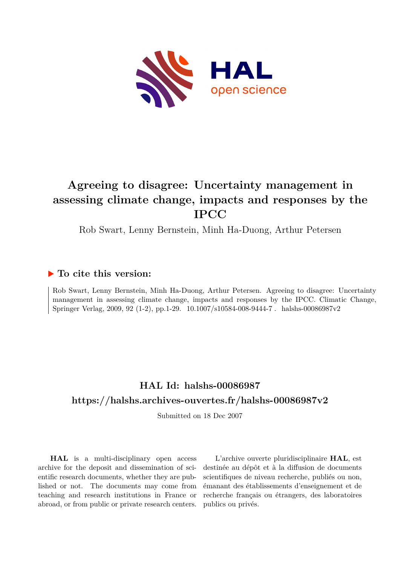

# **Agreeing to disagree: Uncertainty management in assessing climate change, impacts and responses by the IPCC**

Rob Swart, Lenny Bernstein, Minh Ha-Duong, Arthur Petersen

### **To cite this version:**

Rob Swart, Lenny Bernstein, Minh Ha-Duong, Arthur Petersen. Agreeing to disagree: Uncertainty management in assessing climate change, impacts and responses by the IPCC. Climatic Change, Springer Verlag, 2009, 92 (1-2), pp.1-29.  $10.1007/s10584-008-9444-7$ . halshs-00086987v2

## **HAL Id: halshs-00086987 <https://halshs.archives-ouvertes.fr/halshs-00086987v2>**

Submitted on 18 Dec 2007

**HAL** is a multi-disciplinary open access archive for the deposit and dissemination of scientific research documents, whether they are published or not. The documents may come from teaching and research institutions in France or abroad, or from public or private research centers.

L'archive ouverte pluridisciplinaire **HAL**, est destinée au dépôt et à la diffusion de documents scientifiques de niveau recherche, publiés ou non, émanant des établissements d'enseignement et de recherche français ou étrangers, des laboratoires publics ou privés.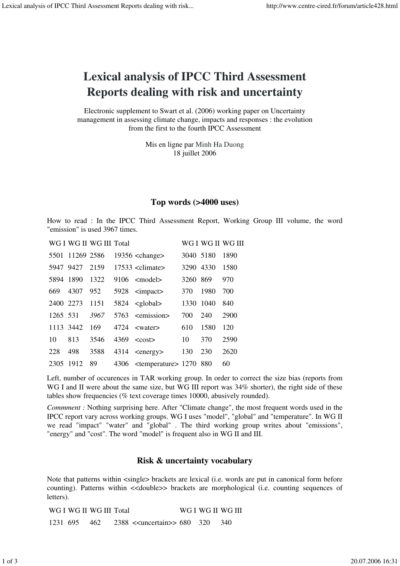# Lexical analysis of IPCC Third Assessment Reports dealing with risk and uncertainty

Electronic supplement to Swart et al. (2006) working paper on Uncertainty management in assessing climate change, impacts and responses : the evolution from the first to the fourth IPCC Assessment

> Mis en ligne par Minh Ha Duong 18 juillet 2006

#### Top words (>4000 uses)

How to read : In the IPCC Third Assessment Report, Working Group III volume, the word "emission" is used 3967 times.

WG I WG II WG III Total WG I WG II WG III

|           | ,, ,, ,, ,, ,,  |      |                                           |           |      | $\cdots$ on $\cdots$ |
|-----------|-----------------|------|-------------------------------------------|-----------|------|----------------------|
|           | 5501 11269 2586 |      | $19356$ <change></change>                 | 3040 5180 |      | 1890                 |
|           | 5947 9427       | 2159 | $17533$ <climate></climate>               | 3290 4330 |      | 1580                 |
| 5894 1890 |                 | 1322 | $9106$ $\leq$ model $>$                   | 3260 869  |      | 970                  |
| 669       | 4307            | 952  | 5928 <impact></impact>                    | 370       | 1980 | 700                  |
| 2400 2273 |                 | 1151 | $5824 \text{ global$                      | 1330 1040 |      | 840                  |
| 1265 531  |                 | 3967 | 5763 <emission></emission>                | 700       | 240  | 2900                 |
|           | 1113 3442       | 169  | $4724$ $\leq$ water $>$                   | 610       | 1580 | 120                  |
| 10        | 813             | 3546 | $4369 \quad \text{ccost}$                 | 10        | 370  | 2590                 |
| 228       | 498             | 3588 | $4314 \le$ energy>                        | 130       | 230  | 2620                 |
| 2305 1912 |                 | 89   | 4306 <temperature> 1270 880</temperature> |           |      | 60                   |

Left, number of occurences in TAR working group. In order to correct the size bias (reports from WG I and II were about the same size, but WG III report was  $34\%$  shorter), the right side of these tables show frequencies (% text coverage times 10000, abusively rounded).

*Commment :* Nothing surprising here. After "Climate change", the most frequent words used in the IPCC report vary across working groups. WG I uses "model", "global" and "temperature". In WG II we read "impact" "water" and "global" . The third working group writes about "emissions", "energy" and "cost". The word "model" is frequent also in WG II and III.

#### Risk & uncertainty vocabulary

Note that patterns within <single> brackets are lexical (i.e. words are put in canonical form before counting). Patterns within <<double>> brackets are morphological (i.e. counting sequences of letters).

|              | WG I WG II WG III Total |                                                |  | WG I WG II WG III |
|--------------|-------------------------|------------------------------------------------|--|-------------------|
| 1231 695 462 |                         | 2388 < <uncertain>&gt; 680 320 340</uncertain> |  |                   |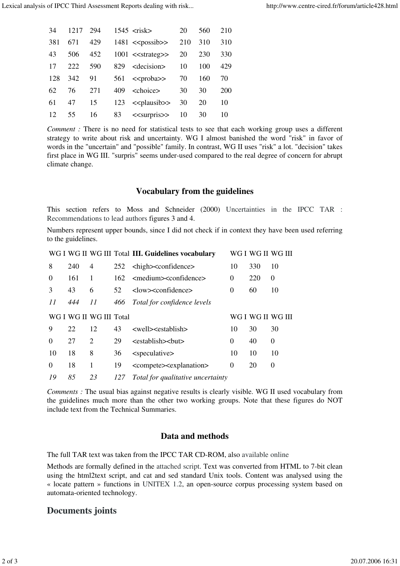| 34  | 1217 | 294 | $1545 \text{ risk$              | 20 | 560 | 210        |
|-----|------|-----|---------------------------------|----|-----|------------|
| 381 | 671  | 429 | $1481 < \text{}$ 210 310        |    |     | 310        |
| 43  | 506  | 452 | $1001 \leq$ strateg>> 20        |    | 230 | 330        |
| 17  | 222  | 590 | 829 <decision> 10</decision>    |    | 100 | 429        |
| 128 | 342  |     | 91 561 < <proba>&gt; 70</proba> |    | 160 | 70         |
| 62  | 76   | 271 | 409 <choice></choice>           | 30 | 30  | <b>200</b> |
| 61  | 47   | 15  | 123 $\leq$ plausib>> 30         |    | 20  | 10         |
| 12  | 55   | 16  | 83 $\le$ surpris>> 10           |    | 30  | 10         |
|     |      |     |                                 |    |     |            |

*Comment :* There is no need for statistical tests to see that each working group uses a different strategy to write about risk and uncertainty. WG I almost banished the word "risk" in favor of words in the "uncertain" and "possible" family. In contrast, WG II uses "risk" a lot. "decision" takes first place in WG III. "surpris" seems under-used compared to the real degree of concern for abrupt climate change.

#### Vocabulary from the guidelines

This section refers to Moss and Schneider (2000) Uncertainties in the IPCC TAR : Recommendations to lead authors figures 3 and 4.

Numbers represent upper bounds, since I did not check if in context they have been used referring to the guidelines.

|          |     |                         |     | WG I WG II WG III Total III. Guidelines vocabulary |          |     | WG I WG II WG III |
|----------|-----|-------------------------|-----|----------------------------------------------------|----------|-----|-------------------|
| 8        | 240 | 4                       | 252 | <high><confidence></confidence></high>             | 10       | 330 | 10                |
| $\Omega$ | 161 | 1                       | 162 | <medium><confidence></confidence></medium>         | $\Omega$ | 220 | $\theta$          |
| 3        | 43  | 6                       | 52  | <low><confidence></confidence></low>               | $\theta$ | 60  | 10                |
| 11       | 444 | 11                      | 466 | Total for confidence levels                        |          |     |                   |
|          |     | WG I WG II WG III Total |     |                                                    |          |     | WG I WG II WG III |
| 9        | 22  | 12                      | 43  | <well><establish></establish></well>               | 10       | 30  | 30                |
| 0        | 27  | $\overline{c}$          | 29  | <establish><br/>&gt;but&gt;</establish>            | $\Omega$ | 40  | 0                 |
| 10       | 18  | 8                       | 36  | <speculative></speculative>                        | 10       | 10  | 10                |
| $\Omega$ | 18  | 1                       | 19  | <compete><explanation></explanation></compete>     | $\Omega$ | 20  | 0                 |
| 19       | 85  | 23                      | 127 | Total for qualitative uncertainty                  |          |     |                   |

*Comments :* The usual bias against negative results is clearly visible. WG II used vocabulary from the guidelines much more than the other two working groups. Note that these figures do NOT include text from the Technical Summaries.

#### Data and methods

The full TAR text was taken from the IPCC TAR CD-ROM, also available online

Methods are formally defined in the attached script. Text was converted from HTML to 7-bit clean using the html2text script, and cat and sed standard Unix tools. Content was analysed using the « locate pattern » functions in UNITEX 1.2, an open-source corpus processing system based on automata-oriented technology.

### Documents joints